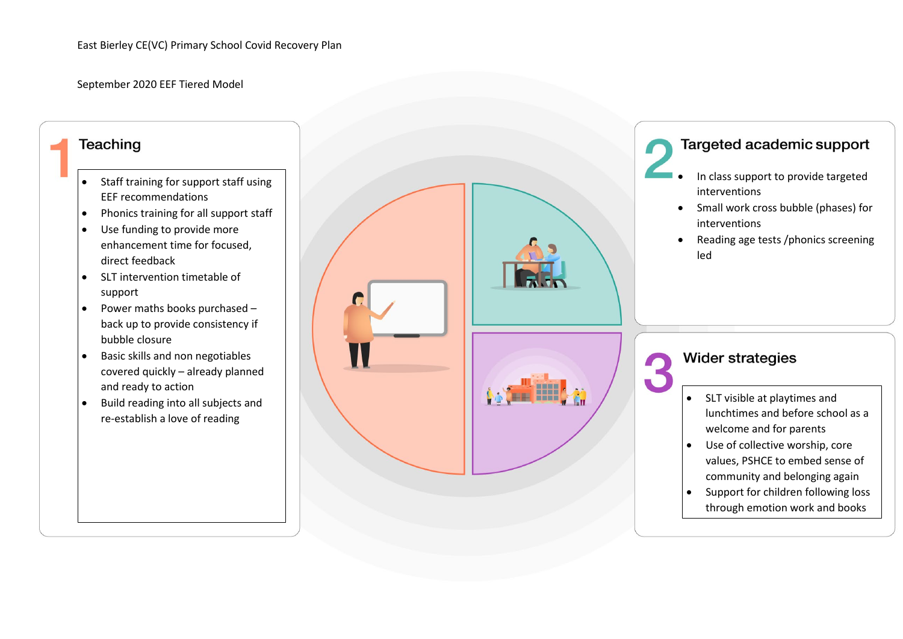September 2020 EEF Tiered Model

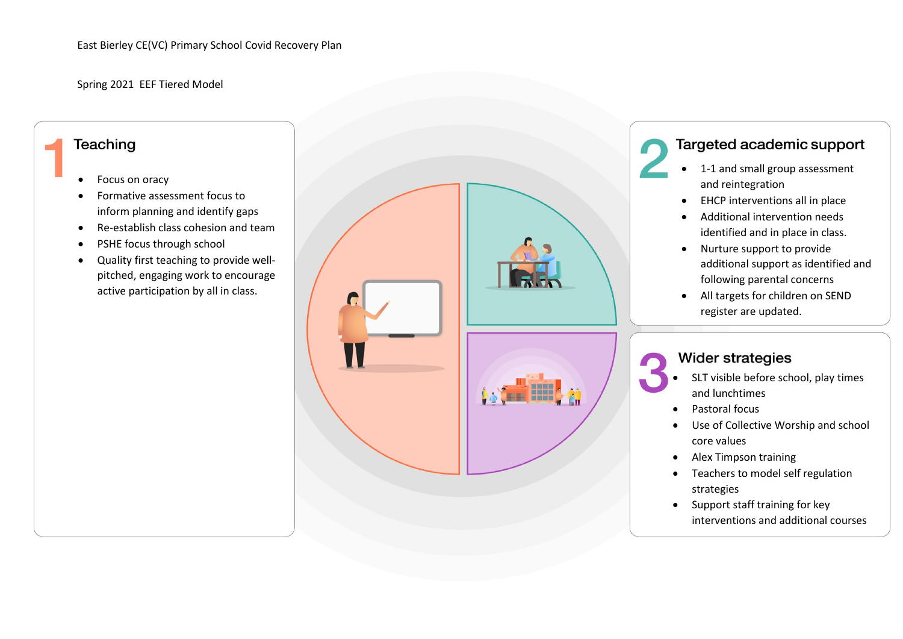Spring 2021 EEF Tiered Model

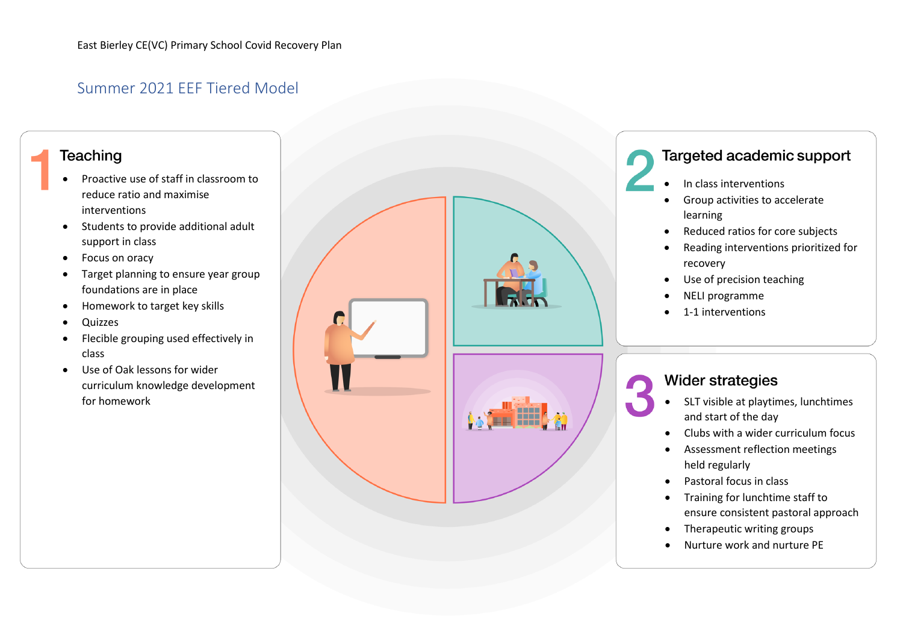## Summer 2021 EEF Tiered Model

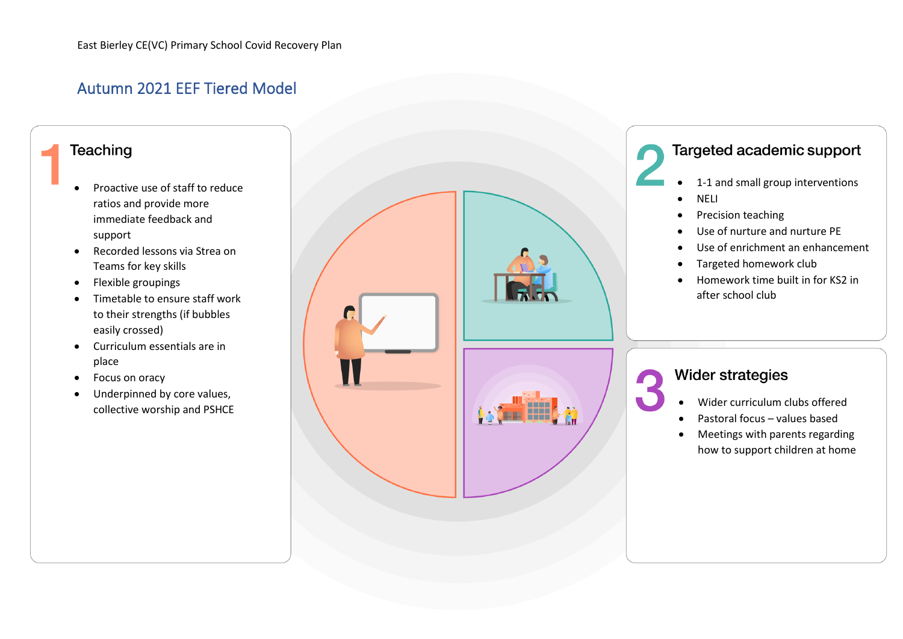## Autumn 2021 EEF Tiered Model

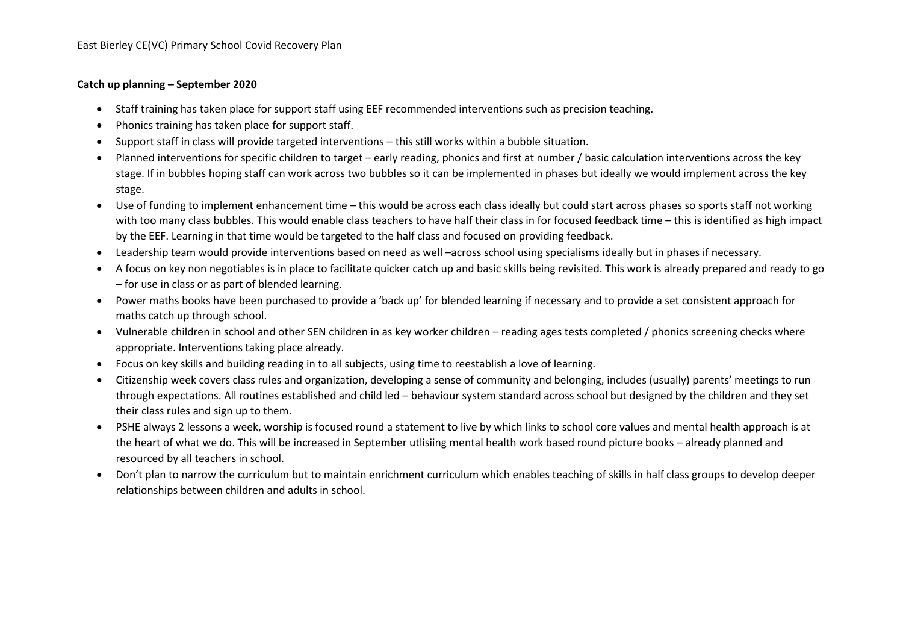## **Catch up planning – September 2020**

- Staff training has taken place for support staff using EEF recommended interventions such as precision teaching.
- Phonics training has taken place for support staff.
- Support staff in class will provide targeted interventions this still works within a bubble situation.
- Planned interventions for specific children to target early reading, phonics and first at number / basic calculation interventions across the key stage. If in bubbles hoping staff can work across two bubbles so it can be implemented in phases but ideally we would implement across the key stage.
- Use of funding to implement enhancement time this would be across each class ideally but could start across phases so sports staff not working with too many class bubbles. This would enable class teachers to have half their class in for focused feedback time – this is identified as high impact by the EEF. Learning in that time would be targeted to the half class and focused on providing feedback.
- Leadership team would provide interventions based on need as well –across school using specialisms ideally but in phases if necessary.
- A focus on key non negotiables is in place to facilitate quicker catch up and basic skills being revisited. This work is already prepared and ready to go – for use in class or as part of blended learning.
- Power maths books have been purchased to provide a 'back up' for blended learning if necessary and to provide a set consistent approach for maths catch up through school.
- Vulnerable children in school and other SEN children in as key worker children reading ages tests completed / phonics screening checks where appropriate. Interventions taking place already.
- Focus on key skills and building reading in to all subjects, using time to reestablish a love of learning.
- Citizenship week covers class rules and organization, developing a sense of community and belonging, includes (usually) parents' meetings to run through expectations. All routines established and child led – behaviour system standard across school but designed by the children and they set their class rules and sign up to them.
- PSHE always 2 lessons a week, worship is focused round a statement to live by which links to school core values and mental health approach is at the heart of what we do. This will be increased in September utlisiing mental health work based round picture books – already planned and resourced by all teachers in school.
- Don't plan to narrow the curriculum but to maintain enrichment curriculum which enables teaching of skills in half class groups to develop deeper relationships between children and adults in school.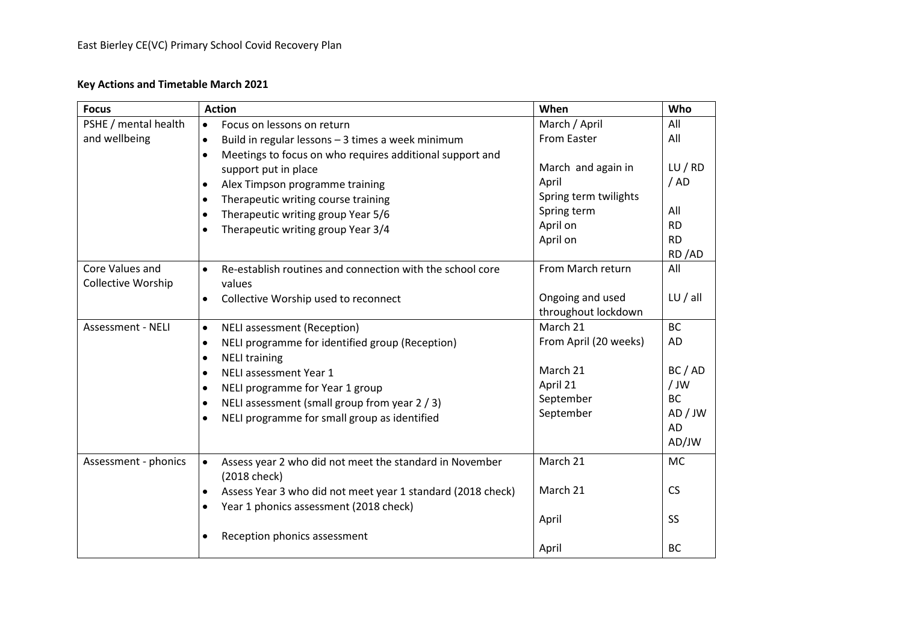## **Key Actions and Timetable March 2021**

| <b>Focus</b>              | <b>Action</b>                                                          | When                  | Who                  |
|---------------------------|------------------------------------------------------------------------|-----------------------|----------------------|
| PSHE / mental health      | Focus on lessons on return<br>$\bullet$                                | March / April         | All                  |
| and wellbeing             | Build in regular lessons - 3 times a week minimum<br>$\bullet$         | <b>From Easter</b>    | All                  |
|                           | Meetings to focus on who requires additional support and               |                       |                      |
|                           | support put in place                                                   | March and again in    | LU/RD                |
|                           | Alex Timpson programme training                                        | April                 | /AD                  |
|                           | Therapeutic writing course training                                    | Spring term twilights |                      |
|                           | Therapeutic writing group Year 5/6                                     | Spring term           | All                  |
|                           | Therapeutic writing group Year 3/4                                     | April on              | <b>RD</b>            |
|                           |                                                                        | April on              | <b>RD</b>            |
|                           |                                                                        |                       | RD/AD                |
| Core Values and           | Re-establish routines and connection with the school core<br>$\bullet$ | From March return     | All                  |
| <b>Collective Worship</b> | values                                                                 |                       |                      |
|                           | Collective Worship used to reconnect<br>$\bullet$                      | Ongoing and used      | LU/all               |
|                           |                                                                        | throughout lockdown   |                      |
| Assessment - NELI         | <b>NELI</b> assessment (Reception)<br>$\bullet$                        | March 21              | <b>BC</b>            |
|                           | NELI programme for identified group (Reception)<br>$\bullet$           | From April (20 weeks) | AD                   |
|                           | <b>NELI training</b><br>$\bullet$                                      |                       |                      |
|                           | NELI assessment Year 1<br>$\bullet$                                    | March 21              | BC / AD              |
|                           | NELI programme for Year 1 group                                        | April 21              | / JW                 |
|                           | NELI assessment (small group from year 2 / 3)                          | September             | <b>BC</b><br>AD / JW |
|                           | NELI programme for small group as identified                           | September             | <b>AD</b>            |
|                           |                                                                        |                       | AD/JW                |
|                           |                                                                        |                       |                      |
| Assessment - phonics      | Assess year 2 who did not meet the standard in November<br>$\bullet$   | March 21              | <b>MC</b>            |
|                           | (2018 check)                                                           |                       |                      |
|                           | Assess Year 3 who did not meet year 1 standard (2018 check)            | March 21              | <b>CS</b>            |
|                           | Year 1 phonics assessment (2018 check)                                 |                       |                      |
|                           |                                                                        | April                 | <b>SS</b>            |
|                           | Reception phonics assessment                                           |                       |                      |
|                           |                                                                        | April                 | <b>BC</b>            |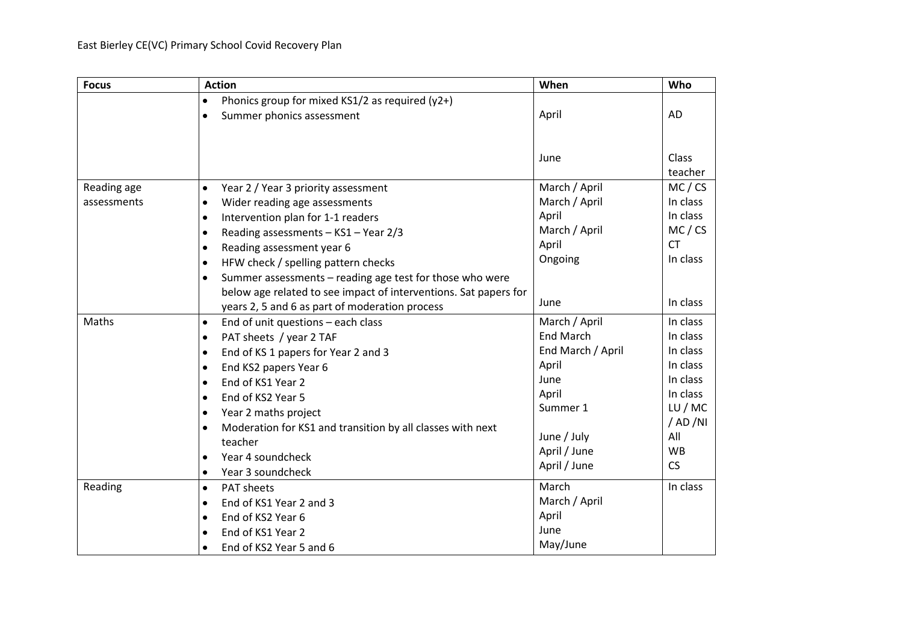| <b>Focus</b> | <b>Action</b>                                                         | When              | Who           |
|--------------|-----------------------------------------------------------------------|-------------------|---------------|
|              | Phonics group for mixed KS1/2 as required (y2+)<br>$\bullet$          |                   |               |
|              | Summer phonics assessment<br>٠                                        | April             | AD            |
|              |                                                                       |                   |               |
|              |                                                                       | June              | Class         |
|              |                                                                       |                   | teacher       |
| Reading age  | Year 2 / Year 3 priority assessment<br>$\bullet$                      | March / April     | MC / CS       |
| assessments  | Wider reading age assessments<br>$\bullet$                            | March / April     | In class      |
|              | Intervention plan for 1-1 readers<br>$\bullet$                        | April             | In class      |
|              | Reading assessments - KS1 - Year 2/3<br>$\bullet$                     | March / April     | MC / CS       |
|              | Reading assessment year 6<br>٠                                        | April             | <b>CT</b>     |
|              | HFW check / spelling pattern checks<br>$\bullet$                      | Ongoing           | In class      |
|              | Summer assessments - reading age test for those who were<br>$\bullet$ |                   |               |
|              | below age related to see impact of interventions. Sat papers for      |                   |               |
|              | years 2, 5 and 6 as part of moderation process                        | June              | In class      |
| Maths        | End of unit questions - each class<br>$\bullet$                       | March / April     | In class      |
|              | PAT sheets / year 2 TAF<br>$\bullet$                                  | <b>End March</b>  | In class      |
|              | End of KS 1 papers for Year 2 and 3<br>$\bullet$                      | End March / April | In class      |
|              | End KS2 papers Year 6<br>٠                                            | April             | In class      |
|              | End of KS1 Year 2<br>$\bullet$                                        | June              | In class      |
|              | End of KS2 Year 5<br>$\bullet$                                        | April             | In class      |
|              | Year 2 maths project<br>٠                                             | Summer 1          | LU/MC         |
|              | Moderation for KS1 and transition by all classes with next            |                   | $/$ AD $/$ NI |
|              | teacher                                                               | June / July       | All           |
|              | Year 4 soundcheck<br>$\bullet$                                        | April / June      | <b>WB</b>     |
|              | Year 3 soundcheck<br>$\bullet$                                        | April / June      | <b>CS</b>     |
| Reading      | <b>PAT sheets</b><br>$\bullet$                                        | March             | In class      |
|              | End of KS1 Year 2 and 3<br>$\bullet$                                  | March / April     |               |
|              | End of KS2 Year 6<br>$\bullet$                                        | April             |               |
|              | End of KS1 Year 2                                                     | June              |               |
|              | End of KS2 Year 5 and 6<br>$\bullet$                                  | May/June          |               |